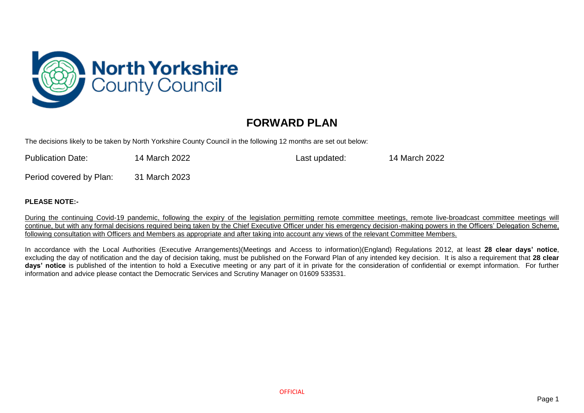

## **FORWARD PLAN**

The decisions likely to be taken by North Yorkshire County Council in the following 12 months are set out below:

| <b>Publication Date:</b> | 14 March 2022 | Last updated: | 14 March 2022 |
|--------------------------|---------------|---------------|---------------|
| Period covered by Plan:  | 31 March 2023 |               |               |

## **PLEASE NOTE:-**

During the continuing Covid-19 pandemic, following the expiry of the legislation permitting remote committee meetings, remote live-broadcast committee meetings will continue, but with any formal decisions required being taken by the Chief Executive Officer under his emergency decision-making powers in the Officers' Delegation Scheme, following consultation with Officers and Members as appropriate and after taking into account any views of the relevant Committee Members.

In accordance with the Local Authorities (Executive Arrangements)(Meetings and Access to information)(England) Regulations 2012, at least **28 clear days' notice**, excluding the day of notification and the day of decision taking, must be published on the Forward Plan of any intended key decision. It is also a requirement that **28 clear days' notice** is published of the intention to hold a Executive meeting or any part of it in private for the consideration of confidential or exempt information. For further information and advice please contact the Democratic Services and Scrutiny Manager on 01609 533531.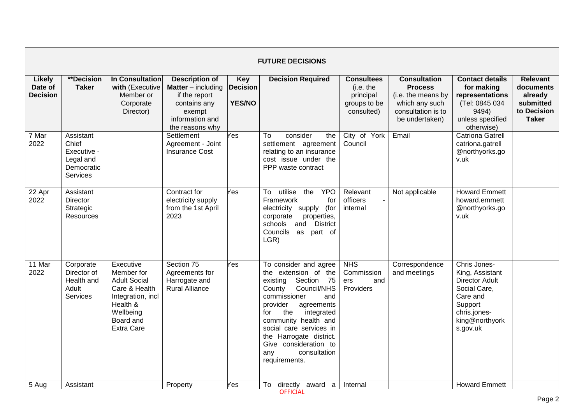|                                             | <b>FUTURE DECISIONS</b>                                                         |                                                                                                                                                 |                                                                                                                              |                                                |                                                                                                                                                                                                                                                                                                                              |                                                                           |                                                                                                                       |                                                                                                                                               |                                                                                     |  |  |  |
|---------------------------------------------|---------------------------------------------------------------------------------|-------------------------------------------------------------------------------------------------------------------------------------------------|------------------------------------------------------------------------------------------------------------------------------|------------------------------------------------|------------------------------------------------------------------------------------------------------------------------------------------------------------------------------------------------------------------------------------------------------------------------------------------------------------------------------|---------------------------------------------------------------------------|-----------------------------------------------------------------------------------------------------------------------|-----------------------------------------------------------------------------------------------------------------------------------------------|-------------------------------------------------------------------------------------|--|--|--|
| <b>Likely</b><br>Date of<br><b>Decision</b> | **Decision<br><b>Taker</b>                                                      | <b>In Consultation</b><br>with (Executive<br>Member or<br>Corporate<br>Director)                                                                | <b>Description of</b><br>Matter - including<br>if the report<br>contains any<br>exempt<br>information and<br>the reasons why | <b>Key</b><br><b>Decision</b><br><b>YES/NO</b> | <b>Decision Required</b>                                                                                                                                                                                                                                                                                                     | <b>Consultees</b><br>(i.e. the<br>principal<br>groups to be<br>consulted) | <b>Consultation</b><br><b>Process</b><br>(i.e. the means by<br>which any such<br>consultation is to<br>be undertaken) | <b>Contact details</b><br>for making<br>representations<br>(Tel: 0845 034<br>9494)<br>unless specified<br>otherwise)                          | <b>Relevant</b><br>documents<br>already<br>submitted<br>to Decision<br><b>Taker</b> |  |  |  |
| 7 Mar<br>2022                               | Assistant<br>Chief<br>Executive -<br>Legal and<br>Democratic<br><b>Services</b> |                                                                                                                                                 | Settlement<br>Agreement - Joint<br><b>Insurance Cost</b>                                                                     | Yes                                            | To<br>consider<br>the<br>settlement agreement<br>relating to an insurance<br>cost issue under the<br>PPP waste contract                                                                                                                                                                                                      | City of York<br>Council                                                   | Email                                                                                                                 | <b>Catriona Gatrell</b><br>catriona.gatrell<br>@northyorks.go<br>v.uk                                                                         |                                                                                     |  |  |  |
| 22 Apr<br>2022                              | Assistant<br><b>Director</b><br>Strategic<br>Resources                          |                                                                                                                                                 | Contract for<br>electricity supply<br>from the 1st April<br>2023                                                             | Yes                                            | utilise<br><b>YPO</b><br>To<br>the<br>Framework<br>for<br>electricity supply<br>(for<br>corporate<br>properties,<br>and District<br>schools<br>Councils<br>as part of<br>LGR)                                                                                                                                                | Relevant<br>officers<br>internal                                          | Not applicable                                                                                                        | <b>Howard Emmett</b><br>howard.emmett<br>@northyorks.go<br>v.uk                                                                               |                                                                                     |  |  |  |
| 11 Mar<br>2022                              | Corporate<br>Director of<br>Health and<br>Adult<br><b>Services</b>              | Executive<br>Member for<br><b>Adult Social</b><br>Care & Health<br>Integration, incl<br>Health &<br>Wellbeing<br>Board and<br><b>Extra Care</b> | Section 75<br>Agreements for<br>Harrogate and<br><b>Rural Alliance</b>                                                       | Yes                                            | To consider and agree<br>the extension of the<br>Section 75<br>existing<br>Council/NHS<br>County<br>commissioner<br>and<br>provider<br>agreements<br>the<br>integrated<br>for<br>community health and<br>social care services in<br>the Harrogate district.<br>Give consideration to<br>consultation<br>any<br>requirements. | <b>NHS</b><br>Commission<br>and<br>ers<br>Providers                       | Correspondence<br>and meetings                                                                                        | Chris Jones-<br>King, Assistant<br><b>Director Adult</b><br>Social Care,<br>Care and<br>Support<br>chris.jones-<br>king@northyork<br>s.gov.uk |                                                                                     |  |  |  |
| 5 Aug                                       | Assistant                                                                       |                                                                                                                                                 | Property                                                                                                                     | Yes                                            | To<br>directly<br>award<br>a<br><b>OFFICIAL</b>                                                                                                                                                                                                                                                                              | Internal                                                                  |                                                                                                                       | <b>Howard Emmett</b>                                                                                                                          |                                                                                     |  |  |  |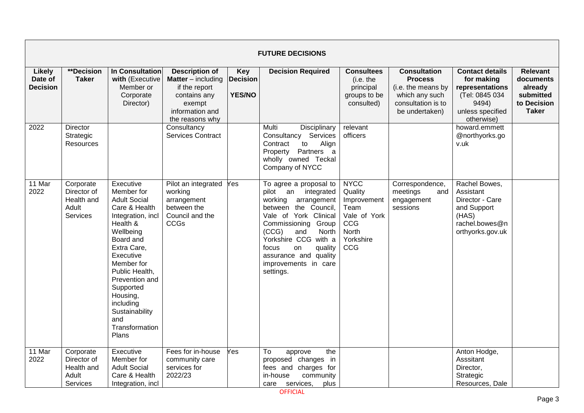|                                             | <b>FUTURE DECISIONS</b>                                     |                                                                                                                                                                                                                                                                                                    |                                                                                                                                       |                                                |                                                                                                                                                                                                                                                                                          |                                                                                                   |                                                                                                                       |                                                                                                                      |                                                                                     |  |  |
|---------------------------------------------|-------------------------------------------------------------|----------------------------------------------------------------------------------------------------------------------------------------------------------------------------------------------------------------------------------------------------------------------------------------------------|---------------------------------------------------------------------------------------------------------------------------------------|------------------------------------------------|------------------------------------------------------------------------------------------------------------------------------------------------------------------------------------------------------------------------------------------------------------------------------------------|---------------------------------------------------------------------------------------------------|-----------------------------------------------------------------------------------------------------------------------|----------------------------------------------------------------------------------------------------------------------|-------------------------------------------------------------------------------------|--|--|
| <b>Likely</b><br>Date of<br><b>Decision</b> | **Decision<br><b>Taker</b>                                  | In Consultation<br>with (Executive<br>Member or<br>Corporate<br>Director)                                                                                                                                                                                                                          | <b>Description of</b><br><b>Matter</b> $-$ including<br>if the report<br>contains any<br>exempt<br>information and<br>the reasons why | <b>Key</b><br><b>Decision</b><br><b>YES/NO</b> | <b>Decision Required</b>                                                                                                                                                                                                                                                                 | <b>Consultees</b><br>(i.e. the<br>principal<br>groups to be<br>consulted)                         | <b>Consultation</b><br><b>Process</b><br>(i.e. the means by<br>which any such<br>consultation is to<br>be undertaken) | <b>Contact details</b><br>for making<br>representations<br>(Tel: 0845 034<br>9494)<br>unless specified<br>otherwise) | <b>Relevant</b><br>documents<br>already<br>submitted<br>to Decision<br><b>Taker</b> |  |  |
| 2022                                        | <b>Director</b><br>Strategic<br>Resources                   |                                                                                                                                                                                                                                                                                                    | Consultancy<br>Services Contract                                                                                                      |                                                | Multi<br>Disciplinary<br>Consultancy Services<br>Contract<br>to<br>Align<br>Property Partners a<br>wholly owned Teckal<br>Company of NYCC                                                                                                                                                | relevant<br>officers                                                                              |                                                                                                                       | howard.emmett<br>@northyorks.go<br>v.uk                                                                              |                                                                                     |  |  |
| 11 Mar<br>2022                              | Corporate<br>Director of<br>Health and<br>Adult<br>Services | Executive<br>Member for<br><b>Adult Social</b><br>Care & Health<br>Integration, incl<br>Health &<br>Wellbeing<br>Board and<br>Extra Care,<br>Executive<br>Member for<br>Public Health,<br>Prevention and<br>Supported<br>Housing,<br>including<br>Sustainability<br>and<br>Transformation<br>Plans | Pilot an integrated<br>working<br>arrangement<br>between the<br>Council and the<br>CCGs                                               | Yes                                            | To agree a proposal to<br>pilot an integrated<br>working<br>arrangement<br>between the Council,<br>Vale of York Clinical<br>Commissioning Group<br>(CCG)<br>and<br>North<br>Yorkshire CCG with a<br>focus<br>quality<br>on<br>assurance and quality<br>improvements in care<br>settings. | <b>NYCC</b><br>Quality<br>Improvement<br>Team<br>Vale of York<br>CCG<br>North<br>Yorkshire<br>CCG | Correspondence,<br>meetings<br>and<br>engagement<br>sessions                                                          | Rachel Bowes,<br>Assistant<br>Director - Care<br>and Support<br>(HAS)<br>rachel.bowes@n<br>orthyorks.gov.uk          |                                                                                     |  |  |
| 11 Mar<br>2022                              | Corporate<br>Director of<br>Health and<br>Adult<br>Services | Executive<br>Member for<br><b>Adult Social</b><br>Care & Health<br>Integration, incl                                                                                                                                                                                                               | Fees for in-house<br>community care<br>services for<br>2022/23                                                                        | Yes                                            | To<br>the<br>approve<br>proposed changes in<br>fees and charges for<br>community<br>in-house<br>care<br>services,<br>plus                                                                                                                                                                |                                                                                                   |                                                                                                                       | Anton Hodge,<br>Asssitant<br>Director,<br>Strategic<br>Resources, Dale                                               |                                                                                     |  |  |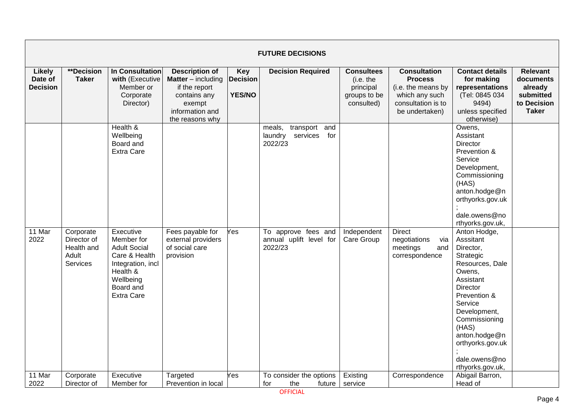|                                      | <b>FUTURE DECISIONS</b>                                     |                                                                                                                                                 |                                                                                                                                       |                                                |                                                               |                                                                           |                                                                                                                       |                                                                                                                                                                                                                                                                 |                                                                                     |  |  |  |
|--------------------------------------|-------------------------------------------------------------|-------------------------------------------------------------------------------------------------------------------------------------------------|---------------------------------------------------------------------------------------------------------------------------------------|------------------------------------------------|---------------------------------------------------------------|---------------------------------------------------------------------------|-----------------------------------------------------------------------------------------------------------------------|-----------------------------------------------------------------------------------------------------------------------------------------------------------------------------------------------------------------------------------------------------------------|-------------------------------------------------------------------------------------|--|--|--|
| Likely<br>Date of<br><b>Decision</b> | **Decision<br><b>Taker</b>                                  | <b>In Consultation</b><br>with (Executive<br>Member or<br>Corporate<br>Director)                                                                | <b>Description of</b><br><b>Matter</b> $-$ including<br>if the report<br>contains any<br>exempt<br>information and<br>the reasons why | <b>Key</b><br><b>Decision</b><br><b>YES/NO</b> | <b>Decision Required</b>                                      | <b>Consultees</b><br>(i.e. the<br>principal<br>groups to be<br>consulted) | <b>Consultation</b><br><b>Process</b><br>(i.e. the means by<br>which any such<br>consultation is to<br>be undertaken) | <b>Contact details</b><br>for making<br>representations<br>(Tel: 0845 034<br>9494)<br>unless specified<br>otherwise)                                                                                                                                            | <b>Relevant</b><br>documents<br>already<br>submitted<br>to Decision<br><b>Taker</b> |  |  |  |
|                                      |                                                             | Health &<br>Wellbeing<br>Board and<br><b>Extra Care</b>                                                                                         |                                                                                                                                       |                                                | transport and<br>meals,<br>laundry<br>services for<br>2022/23 |                                                                           |                                                                                                                       | Owens,<br>Assistant<br>Director<br>Prevention &<br>Service<br>Development,<br>Commissioning<br>(HAS)<br>anton.hodge@n<br>orthyorks.gov.uk<br>dale.owens@no<br>rthyorks.gov.uk,                                                                                  |                                                                                     |  |  |  |
| 11 Mar<br>2022                       | Corporate<br>Director of<br>Health and<br>Adult<br>Services | Executive<br>Member for<br><b>Adult Social</b><br>Care & Health<br>Integration, incl<br>Health &<br>Wellbeing<br>Board and<br><b>Extra Care</b> | Fees payable for<br>external providers<br>of social care<br>provision                                                                 | Yes                                            | To approve fees and<br>annual uplift level for<br>2022/23     | Independent<br>Care Group                                                 | <b>Direct</b><br>negotiations<br>via<br>meetings<br>and<br>correspondence                                             | Anton Hodge,<br>Asssitant<br>Director,<br>Strategic<br>Resources, Dale<br>Owens,<br>Assistant<br><b>Director</b><br>Prevention &<br>Service<br>Development,<br>Commissioning<br>(HAS)<br>anton.hodge@n<br>orthyorks.gov.uk<br>dale.owens@no<br>rthyorks.gov.uk, |                                                                                     |  |  |  |
| 11 Mar<br>2022                       | Corporate<br>Director of                                    | Executive<br>Member for                                                                                                                         | Targeted<br>Prevention in local                                                                                                       | Yes                                            | To consider the options<br>for<br>the<br>future               | Existing<br>service                                                       | Correspondence                                                                                                        | Abigail Barron,<br>Head of                                                                                                                                                                                                                                      |                                                                                     |  |  |  |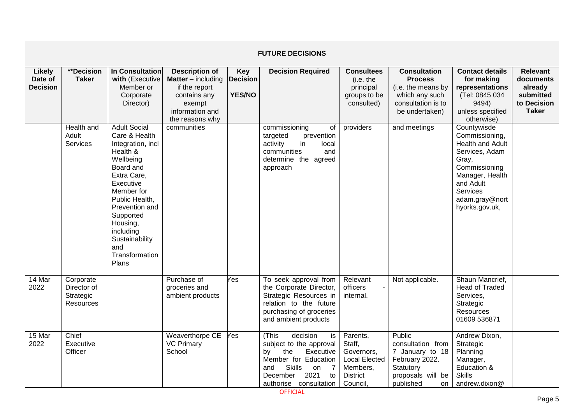|                                             | <b>FUTURE DECISIONS</b>                            |                                                                                                                                                                                                                                                                         |                                                                                                                                       |                                         |                                                                                                                                                                                                          |                                                                                                     |                                                                                                                       |                                                                                                                                                                                      |                                                                                     |  |  |
|---------------------------------------------|----------------------------------------------------|-------------------------------------------------------------------------------------------------------------------------------------------------------------------------------------------------------------------------------------------------------------------------|---------------------------------------------------------------------------------------------------------------------------------------|-----------------------------------------|----------------------------------------------------------------------------------------------------------------------------------------------------------------------------------------------------------|-----------------------------------------------------------------------------------------------------|-----------------------------------------------------------------------------------------------------------------------|--------------------------------------------------------------------------------------------------------------------------------------------------------------------------------------|-------------------------------------------------------------------------------------|--|--|
| <b>Likely</b><br>Date of<br><b>Decision</b> | **Decision<br><b>Taker</b>                         | In Consultation<br>with (Executive<br>Member or<br>Corporate<br>Director)                                                                                                                                                                                               | <b>Description of</b><br><b>Matter</b> $-$ including<br>if the report<br>contains any<br>exempt<br>information and<br>the reasons why | Key<br><b>Decision</b><br><b>YES/NO</b> | <b>Decision Required</b>                                                                                                                                                                                 | <b>Consultees</b><br>(i.e. the<br>principal<br>groups to be<br>consulted)                           | <b>Consultation</b><br><b>Process</b><br>(i.e. the means by<br>which any such<br>consultation is to<br>be undertaken) | <b>Contact details</b><br>for making<br>representations<br>(Tel: 0845 034<br>9494)<br>unless specified<br>otherwise)                                                                 | <b>Relevant</b><br>documents<br>already<br>submitted<br>to Decision<br><b>Taker</b> |  |  |
|                                             | Health and<br>Adult<br><b>Services</b>             | <b>Adult Social</b><br>Care & Health<br>Integration, incl<br>Health &<br>Wellbeing<br>Board and<br>Extra Care,<br>Executive<br>Member for<br>Public Health,<br>Prevention and<br>Supported<br>Housing,<br>including<br>Sustainability<br>and<br>Transformation<br>Plans | communities                                                                                                                           |                                         | commissioning<br>of<br>targeted<br>prevention<br>activity<br>in<br>local<br>communities<br>and<br>determine the agreed<br>approach                                                                       | providers                                                                                           | and meetings                                                                                                          | Countywisde<br>Commissioning,<br>Health and Adult<br>Services, Adam<br>Gray,<br>Commissioning<br>Manager, Health<br>and Adult<br><b>Services</b><br>adam.gray@nort<br>hyorks.gov.uk, |                                                                                     |  |  |
| 14 Mar<br>2022                              | Corporate<br>Director of<br>Strategic<br>Resources |                                                                                                                                                                                                                                                                         | Purchase of<br>groceries and<br>ambient products                                                                                      | Yes                                     | To seek approval from<br>the Corporate Director,<br>Strategic Resources in<br>relation to the future<br>purchasing of groceries<br>and ambient products                                                  | Relevant<br>officers<br>internal.                                                                   | Not applicable.                                                                                                       | Shaun Mancrief,<br><b>Head of Traded</b><br>Services,<br>Strategic<br><b>Resources</b><br>01609 536871                                                                               |                                                                                     |  |  |
| 15 Mar<br>2022                              | Chief<br>Executive<br>Officer                      |                                                                                                                                                                                                                                                                         | Weaverthorpe CE<br><b>VC Primary</b><br>School                                                                                        | Yes                                     | (This<br>decision<br>is<br>subject to the approval<br>by<br>the<br>Executive<br>Member for Education<br><b>Skills</b><br>and<br>on<br>$\overline{7}$<br>2021<br>December<br>to<br>authorise consultation | Parents,<br>Staff,<br>Governors,<br><b>Local Elected</b><br>Members,<br><b>District</b><br>Council, | Public<br>consultation from<br>7 January to 18<br>February 2022.<br>Statutory<br>proposals will be<br>published<br>on | Andrew Dixon,<br>Strategic<br>Planning<br>Manager,<br>Education &<br><b>Skills</b><br>andrew.dixon@                                                                                  |                                                                                     |  |  |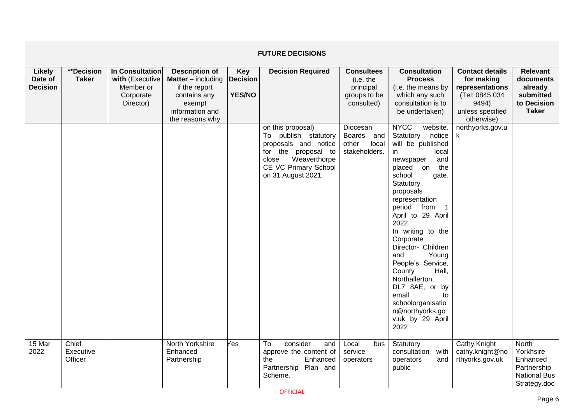|                                      | <b>FUTURE DECISIONS</b>       |                                                                           |                                                                                                                                       |                                                |                                                                                                                                                                 |                                                                           |                                                                                                                                                                                                                                                                                                                                                                                                                                                                                     |                                                                                                                      |                                                                                      |  |  |  |
|--------------------------------------|-------------------------------|---------------------------------------------------------------------------|---------------------------------------------------------------------------------------------------------------------------------------|------------------------------------------------|-----------------------------------------------------------------------------------------------------------------------------------------------------------------|---------------------------------------------------------------------------|-------------------------------------------------------------------------------------------------------------------------------------------------------------------------------------------------------------------------------------------------------------------------------------------------------------------------------------------------------------------------------------------------------------------------------------------------------------------------------------|----------------------------------------------------------------------------------------------------------------------|--------------------------------------------------------------------------------------|--|--|--|
| Likely<br>Date of<br><b>Decision</b> | **Decision<br><b>Taker</b>    | In Consultation<br>with (Executive<br>Member or<br>Corporate<br>Director) | <b>Description of</b><br><b>Matter</b> $-$ including<br>if the report<br>contains any<br>exempt<br>information and<br>the reasons why | <b>Key</b><br><b>Decision</b><br><b>YES/NO</b> | <b>Decision Required</b>                                                                                                                                        | <b>Consultees</b><br>(i.e. the<br>principal<br>groups to be<br>consulted) | <b>Consultation</b><br><b>Process</b><br>(i.e. the means by<br>which any such<br>consultation is to<br>be undertaken)                                                                                                                                                                                                                                                                                                                                                               | <b>Contact details</b><br>for making<br>representations<br>(Tel: 0845 034<br>9494)<br>unless specified<br>otherwise) | <b>Relevant</b><br>documents<br>already<br>submitted<br>to Decision<br><b>Taker</b>  |  |  |  |
|                                      |                               |                                                                           |                                                                                                                                       |                                                | on this proposal)<br>To publish statutory<br>proposals and notice<br>for the proposal to<br>Weaverthorpe<br>close<br>CE VC Primary School<br>on 31 August 2021. | Diocesan<br>Boards and<br>other<br>local<br>stakeholders.                 | <b>NYCC</b><br>website.<br>Statutory<br>notice<br>will be published<br>local<br>in<br>and<br>newspaper<br>placed on<br>the<br>school<br>gate.<br>Statutory<br>proposals<br>representation<br>period from<br>-1<br>April to 29 April<br>2022.<br>In writing to the<br>Corporate<br>Director- Children<br>Young<br>and<br>People's Service,<br>County<br>Hall,<br>Northallerton,<br>DL7 8AE, or by<br>email<br>to<br>schoolorganisatio<br>n@northyorks.go<br>v.uk by 29 April<br>2022 | northyorks.gov.u                                                                                                     |                                                                                      |  |  |  |
| 15 Mar<br>2022                       | Chief<br>Executive<br>Officer |                                                                           | North Yorkshire<br>Enhanced<br>Partnership                                                                                            | Yes                                            | consider<br>To<br>and<br>approve the content of<br>the<br>Enhanced<br>Plan and<br>Partnership<br>Scheme.                                                        | Local<br>bus<br>service<br>operators                                      | Statutory<br>consultation with<br>operators<br>and<br>public                                                                                                                                                                                                                                                                                                                                                                                                                        | Cathy Knight<br>cathy.knight@no<br>rthyorks.gov.uk                                                                   | North<br>Yorkhsire<br>Enhanced<br>Partnership<br><b>National Bus</b><br>Strategy.doc |  |  |  |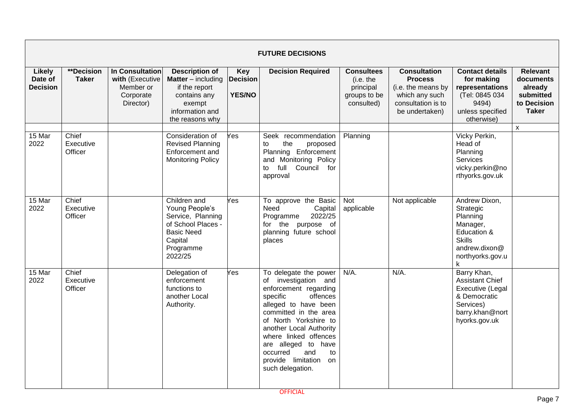|                                             |                               |                                                                           |                                                                                                                                     |                                                | <b>FUTURE DECISIONS</b>                                                                                                                                                                                                                                                                                                             |                                                                           |                                                                                                                       |                                                                                                                              |                                                                                     |
|---------------------------------------------|-------------------------------|---------------------------------------------------------------------------|-------------------------------------------------------------------------------------------------------------------------------------|------------------------------------------------|-------------------------------------------------------------------------------------------------------------------------------------------------------------------------------------------------------------------------------------------------------------------------------------------------------------------------------------|---------------------------------------------------------------------------|-----------------------------------------------------------------------------------------------------------------------|------------------------------------------------------------------------------------------------------------------------------|-------------------------------------------------------------------------------------|
| <b>Likely</b><br>Date of<br><b>Decision</b> | **Decision<br><b>Taker</b>    | In Consultation<br>with (Executive<br>Member or<br>Corporate<br>Director) | <b>Description of</b><br><b>Matter</b> – including<br>if the report<br>contains any<br>exempt<br>information and<br>the reasons why | <b>Key</b><br><b>Decision</b><br><b>YES/NO</b> | <b>Decision Required</b>                                                                                                                                                                                                                                                                                                            | <b>Consultees</b><br>(i.e. the<br>principal<br>groups to be<br>consulted) | <b>Consultation</b><br><b>Process</b><br>(i.e. the means by<br>which any such<br>consultation is to<br>be undertaken) | <b>Contact details</b><br>for making<br>representations<br>(Tel: 0845 034<br>9494)<br>unless specified<br>otherwise)         | <b>Relevant</b><br>documents<br>already<br>submitted<br>to Decision<br><b>Taker</b> |
| $15$ Mar<br>2022                            | Chief<br>Executive<br>Officer |                                                                           | Consideration of<br><b>Revised Planning</b><br>Enforcement and<br><b>Monitoring Policy</b>                                          | Yes                                            | Seek recommendation<br>the<br>proposed<br>to<br>Planning Enforcement<br>and Monitoring Policy<br>full<br>Council for<br>to<br>approval                                                                                                                                                                                              | Planning                                                                  |                                                                                                                       | Vicky Perkin,<br>Head of<br>Planning<br>Services<br>vicky.perkin@no<br>rthyorks.gov.uk                                       | $\mathsf{x}$                                                                        |
| 15 Mar<br>2022                              | Chief<br>Executive<br>Officer |                                                                           | Children and<br>Young People's<br>Service, Planning<br>of School Places -<br><b>Basic Need</b><br>Capital<br>Programme<br>2022/25   | Yes                                            | To approve the Basic<br>Need<br>Capital<br>2022/25<br>Programme<br>for the purpose of<br>planning future school<br>places                                                                                                                                                                                                           | <b>Not</b><br>applicable                                                  | Not applicable                                                                                                        | Andrew Dixon,<br>Strategic<br>Planning<br>Manager,<br>Education &<br><b>Skills</b><br>andrew.dixon@<br>northyorks.gov.u<br>k |                                                                                     |
| 15 Mar<br>2022                              | Chief<br>Executive<br>Officer |                                                                           | Delegation of<br>enforcement<br>functions to<br>another Local<br>Authority.                                                         | Yes                                            | To delegate the power<br>of investigation and<br>enforcement regarding<br>offences<br>specific<br>alleged to have been<br>committed in the area<br>of North Yorkshire to<br>another Local Authority<br>where linked offences<br>are alleged to have<br>occurred<br>and<br>to<br>provide limitation<br><b>on</b><br>such delegation. | $N/A$ .                                                                   | $N/A$ .                                                                                                               | Barry Khan,<br><b>Assistant Chief</b><br>Executive (Legal<br>& Democratic<br>Services)<br>barry.khan@nort<br>hyorks.gov.uk   |                                                                                     |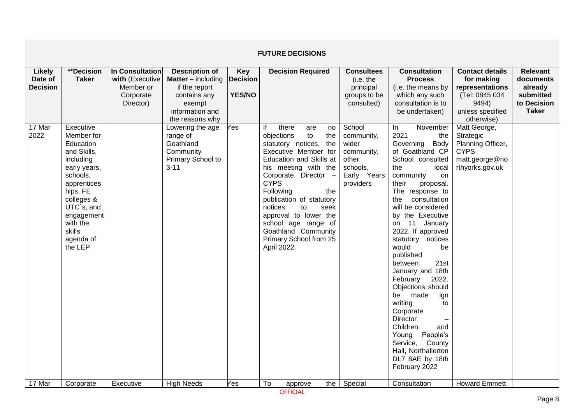|                                             | <b>FUTURE DECISIONS</b>                                                                                                                                                                                         |                                                                           |                                                                                                                                       |                                                |                                                                                                                                                                                                                                                                                                                                                                                              |                                                                                              |                                                                                                                                                                                                                                                                                                                                                                                                                                                                                                                                                                                                            |                                                                                                                      |                                                                                     |  |  |  |  |
|---------------------------------------------|-----------------------------------------------------------------------------------------------------------------------------------------------------------------------------------------------------------------|---------------------------------------------------------------------------|---------------------------------------------------------------------------------------------------------------------------------------|------------------------------------------------|----------------------------------------------------------------------------------------------------------------------------------------------------------------------------------------------------------------------------------------------------------------------------------------------------------------------------------------------------------------------------------------------|----------------------------------------------------------------------------------------------|------------------------------------------------------------------------------------------------------------------------------------------------------------------------------------------------------------------------------------------------------------------------------------------------------------------------------------------------------------------------------------------------------------------------------------------------------------------------------------------------------------------------------------------------------------------------------------------------------------|----------------------------------------------------------------------------------------------------------------------|-------------------------------------------------------------------------------------|--|--|--|--|
| <b>Likely</b><br>Date of<br><b>Decision</b> | <b>**Decision</b><br><b>Taker</b>                                                                                                                                                                               | In Consultation<br>with (Executive<br>Member or<br>Corporate<br>Director) | <b>Description of</b><br><b>Matter</b> $-$ including<br>if the report<br>contains any<br>exempt<br>information and<br>the reasons why | <b>Key</b><br><b>Decision</b><br><b>YES/NO</b> | <b>Decision Required</b>                                                                                                                                                                                                                                                                                                                                                                     | <b>Consultees</b><br>(i.e. the<br>principal<br>groups to be<br>consulted)                    | <b>Consultation</b><br><b>Process</b><br>(i.e. the means by<br>which any such<br>consultation is to<br>be undertaken)                                                                                                                                                                                                                                                                                                                                                                                                                                                                                      | <b>Contact details</b><br>for making<br>representations<br>(Tel: 0845 034<br>9494)<br>unless specified<br>otherwise) | <b>Relevant</b><br>documents<br>already<br>submitted<br>to Decision<br><b>Taker</b> |  |  |  |  |
| 17 Mar<br>2022                              | Executive<br>Member for<br>Education<br>and Skills,<br>including<br>early years,<br>schools,<br>apprentices<br>hips, FE<br>colleges &<br>UTC`s, and<br>engagement<br>with the<br>skills<br>agenda of<br>the LEP |                                                                           | Lowering the age<br>range of<br>Goathland<br>Community<br>Primary School to<br>$3 - 11$                                               | Yes.                                           | lf<br>there<br>are<br>no<br>objections<br>to<br>the<br>statutory notices,<br>the<br>Executive Member for<br>Education and Skills at<br>his meeting with the<br>Corporate Director -<br><b>CYPS</b><br>Following<br>the<br>publication of statutory<br>to<br>notices,<br>seek<br>approval to lower the<br>school age range of<br>Goathland Community<br>Primary School from 25<br>April 2022. | School<br>community,<br>wider<br>community,<br>other<br>schools,<br>Early Years<br>providers | November<br>$\ln$<br>2021<br>the<br>Governing Body<br>of Goathland CP<br>School consulted<br>the<br>local<br>community<br>on<br>their<br>proposal.<br>The response to<br>consultation<br>the<br>will be considered<br>by the Executive<br>on 11 January<br>2022. If approved<br>statutory notices<br>would<br>be<br>published<br>between<br>21st<br>January and 18th<br>February<br>2022.<br>Objections should<br>be<br>made<br>ign<br>writing<br>to<br>Corporate<br><b>Director</b><br>Children<br>and<br>People's<br>Young<br>Service, County<br>Hall, Northallerton<br>DL7 8AE by 18th<br>February 2022 | Matt George,<br>Strategic<br>Planning Officer,<br><b>CYPS</b><br>matt.george@no<br>rthyorks.gov.uk                   |                                                                                     |  |  |  |  |
| 17 Mar                                      | Corporate                                                                                                                                                                                                       | Executive                                                                 | <b>High Needs</b>                                                                                                                     | Yes                                            | To<br>the<br>approve                                                                                                                                                                                                                                                                                                                                                                         | Special                                                                                      | Consultation                                                                                                                                                                                                                                                                                                                                                                                                                                                                                                                                                                                               | <b>Howard Emmett</b>                                                                                                 |                                                                                     |  |  |  |  |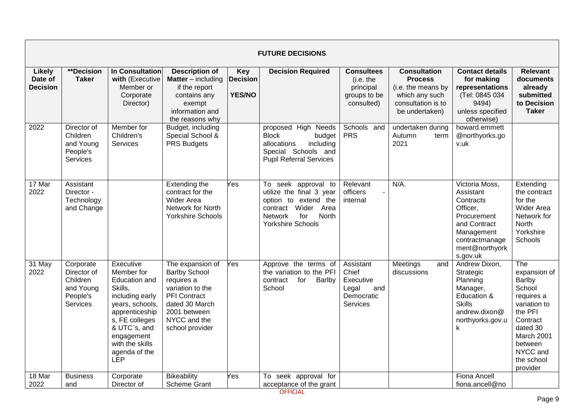|                                             | <b>FUTURE DECISIONS</b>                                                   |                                                                                                                                                                                                               |                                                                                                                                                                        |                                                |                                                                                                                                                          |                                                                           |                                                                                                                       |                                                                                                                                                   |                                                                                                                                                                         |  |  |  |
|---------------------------------------------|---------------------------------------------------------------------------|---------------------------------------------------------------------------------------------------------------------------------------------------------------------------------------------------------------|------------------------------------------------------------------------------------------------------------------------------------------------------------------------|------------------------------------------------|----------------------------------------------------------------------------------------------------------------------------------------------------------|---------------------------------------------------------------------------|-----------------------------------------------------------------------------------------------------------------------|---------------------------------------------------------------------------------------------------------------------------------------------------|-------------------------------------------------------------------------------------------------------------------------------------------------------------------------|--|--|--|
| <b>Likely</b><br>Date of<br><b>Decision</b> | **Decision<br><b>Taker</b>                                                | <b>In Consultation</b><br>with (Executive<br>Member or<br>Corporate<br>Director)                                                                                                                              | <b>Description of</b><br><b>Matter</b> $-$ including<br>if the report<br>contains any<br>exempt<br>information and<br>the reasons why                                  | <b>Key</b><br><b>Decision</b><br><b>YES/NO</b> | <b>Decision Required</b>                                                                                                                                 | <b>Consultees</b><br>(i.e. the<br>principal<br>groups to be<br>consulted) | <b>Consultation</b><br><b>Process</b><br>(i.e. the means by<br>which any such<br>consultation is to<br>be undertaken) | <b>Contact details</b><br>for making<br>representations<br>(Tel: 0845 034<br>9494)<br>unless specified<br>otherwise)                              | <b>Relevant</b><br>documents<br>already<br>submitted<br>to Decision<br><b>Taker</b>                                                                                     |  |  |  |
| 2022                                        | Director of<br>Children<br>and Young<br>People's<br>Services              | Member for<br>Children's<br><b>Services</b>                                                                                                                                                                   | Budget, including<br>Special School &<br><b>PRS Budgets</b>                                                                                                            |                                                | proposed High Needs<br><b>Block</b><br>budget<br>including<br>allocations<br>Special Schools and<br><b>Pupil Referral Services</b>                       | Schools and<br><b>PRS</b>                                                 | undertaken during<br>Autumn<br>term<br>2021                                                                           | howard.emmett<br>@northyorks.go<br>v.uk                                                                                                           |                                                                                                                                                                         |  |  |  |
| 17 Mar<br>2022                              | Assistant<br>Director -<br>Technology<br>and Change                       |                                                                                                                                                                                                               | Extending the<br>contract for the<br><b>Wider Area</b><br>Network for North<br><b>Yorkshire Schools</b>                                                                | Yes                                            | To seek approval to<br>utilize the final 3 year<br>option to extend the<br>contract Wider<br>Area<br>Network<br>for<br>North<br><b>Yorkshire Schools</b> | Relevant<br>officers<br>internal                                          | $N/A$ .                                                                                                               | Victoria Moss,<br>Assistant<br>Contracts<br>Officer,<br>Procurement<br>and Contract<br>Management<br>contractmanage<br>ment@northyork<br>s.gov.uk | Extending<br>the contract<br>for the<br>Wider Area<br>Network for<br><b>North</b><br>Yorkshire<br>Schools                                                               |  |  |  |
| 31 May<br>2022                              | Corporate<br>Director of<br>Children<br>and Young<br>People's<br>Services | Executive<br>Member for<br><b>Education and</b><br>Skills,<br>including early<br>years, schools,<br>apprenticeship<br>s, FE colleges<br>& UTC`s, and<br>engagement<br>with the skills<br>agenda of the<br>LEP | The expansion of<br><b>Barlby School</b><br>requires a<br>variation to the<br><b>PFI</b> Contract<br>dated 30 March<br>2001 between<br>NYCC and the<br>school provider | Yes                                            | Approve the terms of<br>the variation to the PFI<br>for<br>contract<br>Barlby<br>School                                                                  | Assistant<br>Chief<br>Executive<br>Legal<br>and<br>Democratic<br>Services | Meetings<br>and<br>discussions                                                                                        | Andrew Dixon,<br>Strategic<br>Planning<br>Manager,<br>Education &<br><b>Skills</b><br>andrew.dixon@<br>northyorks.gov.u<br>k                      | The<br>expansion of<br>Barlby<br>School<br>requires a<br>variation to<br>the PFI<br>Contract<br>dated 30<br>March 2001<br>between<br>NYCC and<br>the school<br>provider |  |  |  |
| $18$ Mar<br>2022                            | <b>Business</b><br>and                                                    | Corporate<br>Director of                                                                                                                                                                                      | <b>Bikeability</b><br><b>Scheme Grant</b>                                                                                                                              | Yes                                            | To seek approval for<br>acceptance of the grant                                                                                                          |                                                                           |                                                                                                                       | Fiona Ancell<br>fiona.ancell@no                                                                                                                   |                                                                                                                                                                         |  |  |  |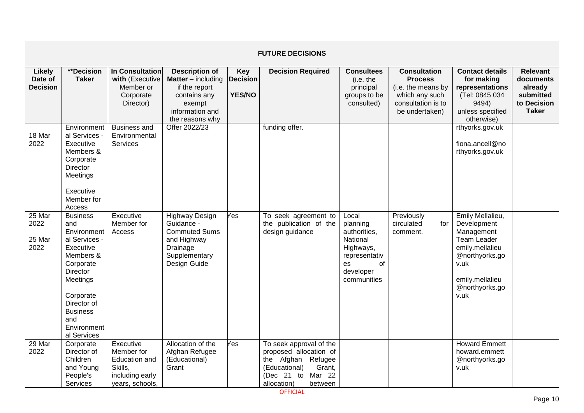|                                      | <b>FUTURE DECISIONS</b>                                                                                                                                                                                   |                                                                                                  |                                                                                                                              |                                                |                                                                                                                                                         |                                                                                                                     |                                                                                                                       |                                                                                                                                                               |                                                                                     |  |  |  |
|--------------------------------------|-----------------------------------------------------------------------------------------------------------------------------------------------------------------------------------------------------------|--------------------------------------------------------------------------------------------------|------------------------------------------------------------------------------------------------------------------------------|------------------------------------------------|---------------------------------------------------------------------------------------------------------------------------------------------------------|---------------------------------------------------------------------------------------------------------------------|-----------------------------------------------------------------------------------------------------------------------|---------------------------------------------------------------------------------------------------------------------------------------------------------------|-------------------------------------------------------------------------------------|--|--|--|
| Likely<br>Date of<br><b>Decision</b> | **Decision<br><b>Taker</b>                                                                                                                                                                                | <b>In Consultation</b><br>with (Executive<br>Member or<br>Corporate<br>Director)                 | <b>Description of</b><br>Matter - including<br>if the report<br>contains any<br>exempt<br>information and<br>the reasons why | <b>Key</b><br><b>Decision</b><br><b>YES/NO</b> | <b>Decision Required</b>                                                                                                                                | <b>Consultees</b><br>(i.e. the<br>principal<br>groups to be<br>consulted)                                           | <b>Consultation</b><br><b>Process</b><br>(i.e. the means by<br>which any such<br>consultation is to<br>be undertaken) | <b>Contact details</b><br>for making<br>representations<br>(Tel: 0845 034<br>9494)<br>unless specified<br>otherwise)                                          | <b>Relevant</b><br>documents<br>already<br>submitted<br>to Decision<br><b>Taker</b> |  |  |  |
| 18 Mar<br>2022                       | Environment<br>al Services -<br>Executive<br>Members &<br>Corporate<br><b>Director</b><br>Meetings<br>Executive<br>Member for<br>Access                                                                   | <b>Business and</b><br>Environmental<br><b>Services</b>                                          | Offer 2022/23                                                                                                                |                                                | funding offer.                                                                                                                                          |                                                                                                                     |                                                                                                                       | rthyorks.gov.uk<br>fiona.ancell@no<br>rthyorks.gov.uk                                                                                                         |                                                                                     |  |  |  |
| $25$ Mar<br>2022<br>25 Mar<br>2022   | <b>Business</b><br>and<br>Environment<br>al Services -<br>Executive<br>Members &<br>Corporate<br>Director<br>Meetings<br>Corporate<br>Director of<br><b>Business</b><br>and<br>Environment<br>al Services | Executive<br>Member for<br>Access                                                                | <b>Highway Design</b><br>Guidance -<br><b>Commuted Sums</b><br>and Highway<br>Drainage<br>Supplementary<br>Design Guide      | Yes                                            | To seek agreement to<br>the publication of the<br>design guidance                                                                                       | Local<br>planning<br>authorities,<br>National<br>Highways,<br>representativ<br>of<br>es<br>developer<br>communities | Previously<br>circulated<br>for<br>comment.                                                                           | Emily Mellalieu,<br>Development<br>Management<br><b>Team Leader</b><br>emily.mellalieu<br>@northyorks.go<br>v.uk<br>emily.mellalieu<br>@northyorks.go<br>v.uk |                                                                                     |  |  |  |
| 29 Mar<br>2022                       | Corporate<br>Director of<br>Children<br>and Young<br>People's<br>Services                                                                                                                                 | Executive<br>Member for<br><b>Education and</b><br>Skills,<br>including early<br>years, schools, | Allocation of the<br>Afghan Refugee<br>(Educational)<br>Grant                                                                | Yes                                            | To seek approval of the<br>proposed allocation of<br>the Afghan Refugee<br>Grant,<br>(Educational)<br>Mar 22<br>(Dec 21<br>to<br>allocation)<br>between |                                                                                                                     |                                                                                                                       | <b>Howard Emmett</b><br>howard.emmett<br>@northyorks.go<br>v.uk                                                                                               |                                                                                     |  |  |  |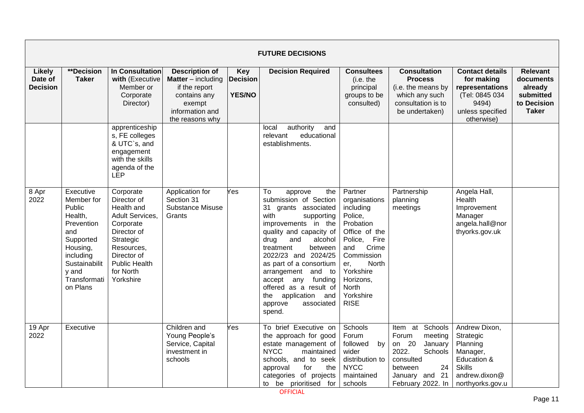|                                             | <b>FUTURE DECISIONS</b>                                                                                                                                       |                                                                                                                                                                                   |                                                                                                                                       |                                         |                                                                                                                                                                                                                                                                                                                                                                                         |                                                                                                                                                                                                             |                                                                                                                                                         |                                                                                                                         |                                                                                     |  |  |
|---------------------------------------------|---------------------------------------------------------------------------------------------------------------------------------------------------------------|-----------------------------------------------------------------------------------------------------------------------------------------------------------------------------------|---------------------------------------------------------------------------------------------------------------------------------------|-----------------------------------------|-----------------------------------------------------------------------------------------------------------------------------------------------------------------------------------------------------------------------------------------------------------------------------------------------------------------------------------------------------------------------------------------|-------------------------------------------------------------------------------------------------------------------------------------------------------------------------------------------------------------|---------------------------------------------------------------------------------------------------------------------------------------------------------|-------------------------------------------------------------------------------------------------------------------------|-------------------------------------------------------------------------------------|--|--|
| <b>Likely</b><br>Date of<br><b>Decision</b> | **Decision<br><b>Taker</b>                                                                                                                                    | <b>In Consultation</b><br>with (Executive<br>Member or<br>Corporate<br>Director)                                                                                                  | <b>Description of</b><br><b>Matter</b> $-$ including<br>if the report<br>contains any<br>exempt<br>information and<br>the reasons why | Key<br><b>Decision</b><br><b>YES/NO</b> | <b>Decision Required</b>                                                                                                                                                                                                                                                                                                                                                                | <b>Consultees</b><br>(i.e. the<br>principal<br>groups to be<br>consulted)                                                                                                                                   | <b>Consultation</b><br><b>Process</b><br>(i.e. the means by<br>which any such<br>consultation is to<br>be undertaken)                                   | <b>Contact details</b><br>for making<br>representations<br>(Tel: 0845 034<br>9494)<br>unless specified<br>otherwise)    | <b>Relevant</b><br>documents<br>already<br>submitted<br>to Decision<br><b>Taker</b> |  |  |
|                                             |                                                                                                                                                               | apprenticeship<br>s, FE colleges<br>& UTC`s, and<br>engagement<br>with the skills<br>agenda of the<br>LEP                                                                         |                                                                                                                                       |                                         | authority<br>and<br>local<br>educational<br>relevant<br>establishments.                                                                                                                                                                                                                                                                                                                 |                                                                                                                                                                                                             |                                                                                                                                                         |                                                                                                                         |                                                                                     |  |  |
| 8 Apr<br>2022                               | Executive<br>Member for<br>Public<br>Health,<br>Prevention<br>and<br>Supported<br>Housing,<br>including<br>Sustainabilit<br>y and<br>Transformati<br>on Plans | Corporate<br>Director of<br>Health and<br>Adult Services,<br>Corporate<br>Director of<br>Strategic<br>Resources,<br>Director of<br><b>Public Health</b><br>for North<br>Yorkshire | Application for<br>Section 31<br><b>Substance Misuse</b><br>Grants                                                                    | Yes                                     | To<br>approve<br>the<br>submission of Section<br>31<br>grants associated<br>with<br>supporting<br>improvements in the<br>quality and capacity of<br>and<br>alcohol<br>drug<br>treatment<br>between<br>2022/23 and 2024/25<br>as part of a consortium<br>arrangement and to<br>accept any funding<br>offered as a result of<br>the application<br>and<br>approve<br>associated<br>spend. | Partner<br>organisations<br>including<br>Police,<br>Probation<br>Office of the<br>Police, Fire<br>Crime<br>and<br>Commission<br>North<br>er,<br>Yorkshire<br>Horizons,<br>North<br>Yorkshire<br><b>RISE</b> | Partnership<br>planning<br>meetings                                                                                                                     | Angela Hall,<br>Health<br>Improvement<br>Manager<br>angela.hall@nor<br>thyorks.gov.uk                                   |                                                                                     |  |  |
| 19 Apr<br>2022                              | Executive                                                                                                                                                     |                                                                                                                                                                                   | Children and<br>Young People's<br>Service, Capital<br>investment in<br>schools                                                        | Yes                                     | To brief Executive on<br>the approach for good<br>estate management of<br><b>NYCC</b><br>maintained<br>schools, and to seek<br>approval<br>for<br>the<br>categories of projects<br>to be prioritised for                                                                                                                                                                                | Schools<br>Forum<br>followed<br>by<br>wider<br>distribution to<br><b>NYCC</b><br>maintained<br>schools                                                                                                      | Schools<br>Item at<br>Forum<br>meeting<br>on 20<br>January<br>2022.<br>Schools<br>consulted<br>24<br>between<br>January and 21<br>February 2022. In $ $ | Andrew Dixon,<br>Strategic<br>Planning<br>Manager,<br>Education &<br><b>Skills</b><br>andrew.dixon@<br>northyorks.gov.u |                                                                                     |  |  |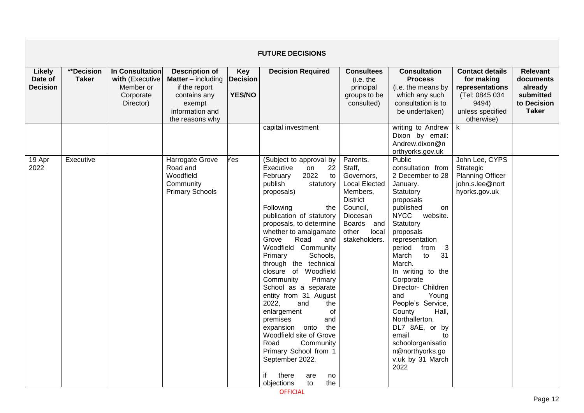|                                             |                                   |                                                                           |                                                                                                                                     |                                                | <b>FUTURE DECISIONS</b>                                                                                                                                                                                                                                                                                                                                                                                                                                                                                                                                                                                                                                         |                                                                                                                                                                            |                                                                                                                                                                                                                                                                                                                                                                                                                                                                                     |                                                                                                                      |                                                                                     |
|---------------------------------------------|-----------------------------------|---------------------------------------------------------------------------|-------------------------------------------------------------------------------------------------------------------------------------|------------------------------------------------|-----------------------------------------------------------------------------------------------------------------------------------------------------------------------------------------------------------------------------------------------------------------------------------------------------------------------------------------------------------------------------------------------------------------------------------------------------------------------------------------------------------------------------------------------------------------------------------------------------------------------------------------------------------------|----------------------------------------------------------------------------------------------------------------------------------------------------------------------------|-------------------------------------------------------------------------------------------------------------------------------------------------------------------------------------------------------------------------------------------------------------------------------------------------------------------------------------------------------------------------------------------------------------------------------------------------------------------------------------|----------------------------------------------------------------------------------------------------------------------|-------------------------------------------------------------------------------------|
| <b>Likely</b><br>Date of<br><b>Decision</b> | <b>**Decision</b><br><b>Taker</b> | In Consultation<br>with (Executive<br>Member or<br>Corporate<br>Director) | <b>Description of</b><br><b>Matter</b> – including<br>if the report<br>contains any<br>exempt<br>information and<br>the reasons why | <b>Key</b><br><b>Decision</b><br><b>YES/NO</b> | <b>Decision Required</b>                                                                                                                                                                                                                                                                                                                                                                                                                                                                                                                                                                                                                                        | <b>Consultees</b><br>(i.e. the<br>principal<br>groups to be<br>consulted)                                                                                                  | <b>Consultation</b><br><b>Process</b><br>(i.e. the means by<br>which any such<br>consultation is to<br>be undertaken)                                                                                                                                                                                                                                                                                                                                                               | <b>Contact details</b><br>for making<br>representations<br>(Tel: 0845 034<br>9494)<br>unless specified<br>otherwise) | <b>Relevant</b><br>documents<br>already<br>submitted<br>to Decision<br><b>Taker</b> |
|                                             |                                   |                                                                           |                                                                                                                                     |                                                | capital investment                                                                                                                                                                                                                                                                                                                                                                                                                                                                                                                                                                                                                                              |                                                                                                                                                                            | writing to Andrew<br>Dixon by email:<br>Andrew.dixon@n<br>orthyorks.gov.uk                                                                                                                                                                                                                                                                                                                                                                                                          | k                                                                                                                    |                                                                                     |
| $19$ Apr<br>2022                            | Executive                         |                                                                           | <b>Harrogate Grove</b><br>Road and<br>Woodfield<br>Community<br><b>Primary Schools</b>                                              | Yes                                            | (Subject to approval by<br>Executive<br>22<br>on<br>2022<br>February<br>to<br>publish<br>statutory<br>proposals)<br>Following<br>the<br>publication of statutory<br>proposals, to determine<br>whether to amalgamate<br>Road<br>Grove<br>and<br>Woodfield Community<br>Primary<br>Schools,<br>through the technical<br>closure of Woodfield<br>Community<br>Primary<br>School as a separate<br>entity from 31 August<br>2022,<br>and<br>the<br>enlargement<br>οf<br>premises<br>and<br>the<br>expansion onto<br>Woodfield site of Grove<br>Road<br>Community<br>Primary School from 1<br>September 2022.<br>if<br>there<br>are<br>no<br>objections<br>to<br>the | Parents,<br>Staff,<br>Governors,<br><b>Local Elected</b><br>Members,<br><b>District</b><br>Council,<br>Diocesan<br><b>Boards</b><br>and<br>other<br>local<br>stakeholders. | Public<br>consultation from<br>2 December to 28<br>January.<br>Statutory<br>proposals<br>published<br><b>on</b><br><b>NYCC</b><br>website.<br>Statutory<br>proposals<br>representation<br>3<br>period<br>from<br>31<br>March<br>to<br>March.<br>In writing to the<br>Corporate<br>Director- Children<br>and<br>Young<br>People's Service,<br>County<br>Hall,<br>Northallerton,<br>DL7 8AE, or by<br>email<br>to<br>schoolorganisatio<br>n@northyorks.go<br>v.uk by 31 March<br>2022 | John Lee, CYPS<br>Strategic<br><b>Planning Officer</b><br>john.s.lee@nort<br>hyorks.gov.uk                           |                                                                                     |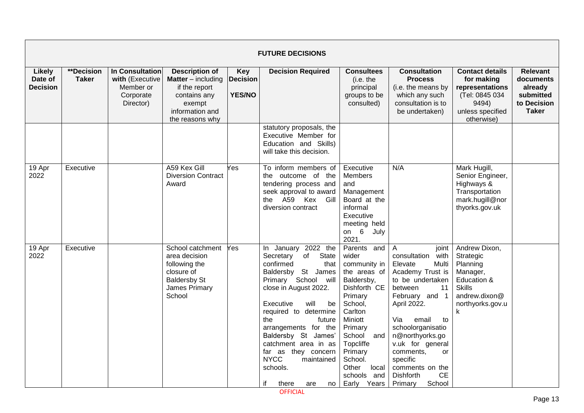|                                             | <b>FUTURE DECISIONS</b>    |                                                                           |                                                                                                                                     |                                                |                                                                                                                                                                                                                                                                                                                                                                                         |                                                                                                                                                                                                                                               |                                                                                                                                                                                                                                                                                                                                                   |                                                                                                                              |                                                                                     |  |  |  |
|---------------------------------------------|----------------------------|---------------------------------------------------------------------------|-------------------------------------------------------------------------------------------------------------------------------------|------------------------------------------------|-----------------------------------------------------------------------------------------------------------------------------------------------------------------------------------------------------------------------------------------------------------------------------------------------------------------------------------------------------------------------------------------|-----------------------------------------------------------------------------------------------------------------------------------------------------------------------------------------------------------------------------------------------|---------------------------------------------------------------------------------------------------------------------------------------------------------------------------------------------------------------------------------------------------------------------------------------------------------------------------------------------------|------------------------------------------------------------------------------------------------------------------------------|-------------------------------------------------------------------------------------|--|--|--|
| <b>Likely</b><br>Date of<br><b>Decision</b> | **Decision<br><b>Taker</b> | In Consultation<br>with (Executive<br>Member or<br>Corporate<br>Director) | <b>Description of</b><br><b>Matter</b> – including<br>if the report<br>contains any<br>exempt<br>information and<br>the reasons why | <b>Key</b><br><b>Decision</b><br><b>YES/NO</b> | <b>Decision Required</b>                                                                                                                                                                                                                                                                                                                                                                | <b>Consultees</b><br>(i.e. the<br>principal<br>groups to be<br>consulted)                                                                                                                                                                     | <b>Consultation</b><br><b>Process</b><br>(i.e. the means by<br>which any such<br>consultation is to<br>be undertaken)                                                                                                                                                                                                                             | <b>Contact details</b><br>for making<br>representations<br>(Tel: 0845 034<br>9494)<br>unless specified<br>otherwise)         | <b>Relevant</b><br>documents<br>already<br>submitted<br>to Decision<br><b>Taker</b> |  |  |  |
|                                             |                            |                                                                           |                                                                                                                                     |                                                | statutory proposals, the<br>Executive Member for<br>Education and Skills)<br>will take this decision.                                                                                                                                                                                                                                                                                   |                                                                                                                                                                                                                                               |                                                                                                                                                                                                                                                                                                                                                   |                                                                                                                              |                                                                                     |  |  |  |
| 19 Apr<br>2022                              | Executive                  |                                                                           | A59 Kex Gill<br><b>Diversion Contract</b><br>Award                                                                                  | Yes                                            | To inform members of<br>the outcome of the<br>tendering process and<br>seek approval to award<br>the A59 Kex<br>Gill<br>diversion contract                                                                                                                                                                                                                                              | Executive<br><b>Members</b><br>and<br>Management<br>Board at the<br>informal<br>Executive<br>meeting held<br>on 6<br>July<br>2021.                                                                                                            | N/A                                                                                                                                                                                                                                                                                                                                               | Mark Hugill,<br>Senior Engineer,<br>Highways &<br>Transportation<br>mark.hugill@nor<br>thyorks.gov.uk                        |                                                                                     |  |  |  |
| 19 Apr<br>2022                              | Executive                  |                                                                           | School catchment<br>area decision<br>following the<br>closure of<br><b>Baldersby St</b><br>James Primary<br>School                  | /es                                            | 2022 the<br>In January<br>Secretary<br>of<br>State<br>confirmed<br>that<br>Baldersby St James<br>Primary School will<br>close in August 2022.<br>Executive<br>will<br>be<br>required to determine<br>the<br>future<br>arrangements for the<br>Baldersby St James'<br>catchment area in as<br>far as they concern<br><b>NYCC</b><br>maintained<br>schools.<br>if<br>there<br>no l<br>are | Parents and<br>wider<br>community in<br>the areas of<br>Baldersby,<br>Dishforth CE<br>Primary<br>School,<br>Carlton<br>Miniott<br>Primary<br>School<br>and<br>Topcliffe<br>Primary<br>School.<br>Other<br>local<br>schools and<br>Early Years | A<br>joint<br>consultation<br>with<br>Elevate<br>Multi<br>Academy Trust is<br>to be undertaken<br>between<br>11<br>February and 1<br>April 2022.<br>Via<br>email<br>to<br>schoolorganisatio<br>n@northyorks.go<br>v.uk for general<br>comments,<br><b>or</b><br>specific<br>comments on the<br><b>CE</b><br><b>Dishforth</b><br>School<br>Primary | Andrew Dixon,<br>Strategic<br>Planning<br>Manager,<br>Education &<br><b>Skills</b><br>andrew.dixon@<br>northyorks.gov.u<br>k |                                                                                     |  |  |  |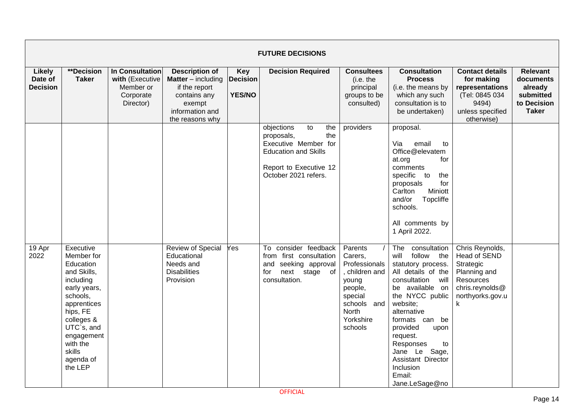|                                             |                                                                                                                                                                                                                 |                                                                           |                                                                                                                                     |                                                | <b>FUTURE DECISIONS</b>                                                                                                                               |                                                                                                                                              |                                                                                                                                                                                                                                                                                                                                     |                                                                                                                              |                                                                                     |
|---------------------------------------------|-----------------------------------------------------------------------------------------------------------------------------------------------------------------------------------------------------------------|---------------------------------------------------------------------------|-------------------------------------------------------------------------------------------------------------------------------------|------------------------------------------------|-------------------------------------------------------------------------------------------------------------------------------------------------------|----------------------------------------------------------------------------------------------------------------------------------------------|-------------------------------------------------------------------------------------------------------------------------------------------------------------------------------------------------------------------------------------------------------------------------------------------------------------------------------------|------------------------------------------------------------------------------------------------------------------------------|-------------------------------------------------------------------------------------|
| <b>Likely</b><br>Date of<br><b>Decision</b> | **Decision<br><b>Taker</b>                                                                                                                                                                                      | In Consultation<br>with (Executive<br>Member or<br>Corporate<br>Director) | <b>Description of</b><br><b>Matter</b> – including<br>if the report<br>contains any<br>exempt<br>information and<br>the reasons why | <b>Key</b><br><b>Decision</b><br><b>YES/NO</b> | <b>Decision Required</b>                                                                                                                              | <b>Consultees</b><br>(i.e. the<br>principal<br>groups to be<br>consulted)                                                                    | <b>Consultation</b><br><b>Process</b><br>(i.e. the means by<br>which any such<br>consultation is to<br>be undertaken)                                                                                                                                                                                                               | <b>Contact details</b><br>for making<br>representations<br>(Tel: 0845 034<br>9494)<br>unless specified<br>otherwise)         | <b>Relevant</b><br>documents<br>already<br>submitted<br>to Decision<br><b>Taker</b> |
|                                             |                                                                                                                                                                                                                 |                                                                           |                                                                                                                                     |                                                | objections<br>to<br>the<br>the<br>proposals,<br>Executive Member for<br><b>Education and Skills</b><br>Report to Executive 12<br>October 2021 refers. | providers                                                                                                                                    | proposal.<br>Via<br>email<br>to<br>Office@elevatem<br>for<br>at.org<br>comments<br>specific to<br>the<br>for<br>proposals<br>Carlton<br>Miniott<br>Topcliffe<br>and/or<br>schools.<br>All comments by<br>1 April 2022.                                                                                                              |                                                                                                                              |                                                                                     |
| 19 Apr<br>2022                              | Executive<br>Member for<br>Education<br>and Skills,<br>including<br>early years,<br>schools,<br>apprentices<br>hips, FE<br>colleges &<br>UTC`s, and<br>engagement<br>with the<br>skills<br>agenda of<br>the LEP |                                                                           | Review of Special<br>Educational<br>Needs and<br><b>Disabilities</b><br>Provision                                                   | Yes                                            | To consider feedback<br>from first consultation<br>and seeking approval<br>next stage of<br>for<br>consultation.                                      | Parents<br>Carers,<br>Professionals<br>children and<br>young<br>people,<br>special<br>schools<br>and<br><b>North</b><br>Yorkshire<br>schools | The<br>consultation<br>follow the<br>will<br>statutory process.<br>All details of the<br>consultation will<br>be available on<br>the NYCC public<br>website;<br>alternative<br>formats can be<br>provided<br>upon<br>request.<br>Responses<br>to<br>Sage,<br>Jane Le<br>Assistant Director<br>Inclusion<br>Email:<br>Jane.LeSage@no | Chris Reynolds,<br>Head of SEND<br>Strategic<br>Planning and<br><b>Resources</b><br>chris.reynolds@<br>northyorks.gov.u<br>k |                                                                                     |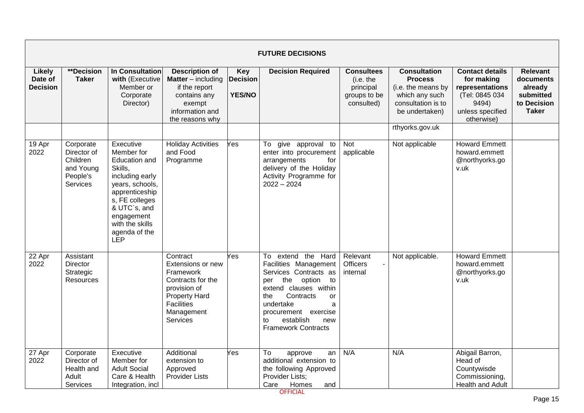|                                             |                                                                           |                                                                                                                                                                                                               |                                                                                                                                                 |                                                | <b>FUTURE DECISIONS</b>                                                                                                                                                                                                                                 |                                                                           |                                                                                                                       |                                                                                                                      |                                                                                     |
|---------------------------------------------|---------------------------------------------------------------------------|---------------------------------------------------------------------------------------------------------------------------------------------------------------------------------------------------------------|-------------------------------------------------------------------------------------------------------------------------------------------------|------------------------------------------------|---------------------------------------------------------------------------------------------------------------------------------------------------------------------------------------------------------------------------------------------------------|---------------------------------------------------------------------------|-----------------------------------------------------------------------------------------------------------------------|----------------------------------------------------------------------------------------------------------------------|-------------------------------------------------------------------------------------|
| <b>Likely</b><br>Date of<br><b>Decision</b> | **Decision<br><b>Taker</b>                                                | In Consultation<br>with (Executive<br>Member or<br>Corporate<br>Director)                                                                                                                                     | <b>Description of</b><br><b>Matter</b> $-$ including<br>if the report<br>contains any<br>exempt<br>information and<br>the reasons why           | <b>Key</b><br><b>Decision</b><br><b>YES/NO</b> | <b>Decision Required</b>                                                                                                                                                                                                                                | <b>Consultees</b><br>(i.e. the<br>principal<br>groups to be<br>consulted) | <b>Consultation</b><br><b>Process</b><br>(i.e. the means by<br>which any such<br>consultation is to<br>be undertaken) | <b>Contact details</b><br>for making<br>representations<br>(Tel: 0845 034<br>9494)<br>unless specified<br>otherwise) | <b>Relevant</b><br>documents<br>already<br>submitted<br>to Decision<br><b>Taker</b> |
|                                             |                                                                           |                                                                                                                                                                                                               |                                                                                                                                                 |                                                |                                                                                                                                                                                                                                                         |                                                                           | rthyorks.gov.uk                                                                                                       |                                                                                                                      |                                                                                     |
| 19 Apr<br>2022                              | Corporate<br>Director of<br>Children<br>and Young<br>People's<br>Services | Executive<br>Member for<br><b>Education and</b><br>Skills,<br>including early<br>years, schools,<br>apprenticeship<br>s, FE colleges<br>& UTC`s, and<br>engagement<br>with the skills<br>agenda of the<br>LEP | <b>Holiday Activities</b><br>and Food<br>Programme                                                                                              | Yes                                            | To give approval to<br>enter into procurement<br>arrangements<br>for<br>delivery of the Holiday<br>Activity Programme for<br>$2022 - 2024$                                                                                                              | Not<br>applicable                                                         | Not applicable                                                                                                        | <b>Howard Emmett</b><br>howard.emmett<br>@northyorks.go<br>v.uk                                                      |                                                                                     |
| 22 Apr<br>2022                              | Assistant<br><b>Director</b><br>Strategic<br>Resources                    |                                                                                                                                                                                                               | Contract<br>Extensions or new<br>Framework<br>Contracts for the<br>provision of<br><b>Property Hard</b><br>Facilities<br>Management<br>Services | Yes                                            | To extend the Hard<br>Facilities Management<br>Services Contracts as<br>option<br>the<br>to<br>per<br>extend clauses within<br>the<br>Contracts<br>or<br>undertake<br>a<br>procurement exercise<br>establish<br>new<br>to<br><b>Framework Contracts</b> | Relevant<br><b>Officers</b><br>internal                                   | Not applicable.                                                                                                       | <b>Howard Emmett</b><br>howard.emmett<br>@northyorks.go<br>v.uk                                                      |                                                                                     |
| 27 Apr<br>2022                              | Corporate<br>Director of<br>Health and<br>Adult<br><b>Services</b>        | Executive<br>Member for<br><b>Adult Social</b><br>Care & Health<br>Integration, incl                                                                                                                          | Additional<br>extension to<br>Approved<br><b>Provider Lists</b>                                                                                 | Yes                                            | To<br>approve<br>an<br>additional extension to<br>the following Approved<br>Provider Lists;<br>Care<br>Homes<br>and                                                                                                                                     | N/A                                                                       | N/A                                                                                                                   | Abigail Barron,<br>Head of<br>Countywisde<br>Commissioning,<br>Health and Adult                                      |                                                                                     |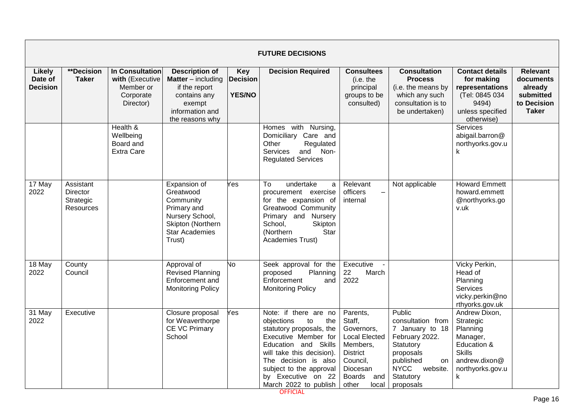|                                             |                                                        |                                                                                  |                                                                                                                                       |                                         | <b>FUTURE DECISIONS</b>                                                                                                                                                                                                                                     |                                                                                                                                                           |                                                                                                                                                                    |                                                                                                                              |                                                                                     |
|---------------------------------------------|--------------------------------------------------------|----------------------------------------------------------------------------------|---------------------------------------------------------------------------------------------------------------------------------------|-----------------------------------------|-------------------------------------------------------------------------------------------------------------------------------------------------------------------------------------------------------------------------------------------------------------|-----------------------------------------------------------------------------------------------------------------------------------------------------------|--------------------------------------------------------------------------------------------------------------------------------------------------------------------|------------------------------------------------------------------------------------------------------------------------------|-------------------------------------------------------------------------------------|
| <b>Likely</b><br>Date of<br><b>Decision</b> | <b>**Decision</b><br><b>Taker</b>                      | <b>In Consultation</b><br>with (Executive<br>Member or<br>Corporate<br>Director) | <b>Description of</b><br><b>Matter</b> $-$ including<br>if the report<br>contains any<br>exempt<br>information and<br>the reasons why | Key<br><b>Decision</b><br><b>YES/NO</b> | <b>Decision Required</b>                                                                                                                                                                                                                                    | <b>Consultees</b><br>(i.e. the<br>principal<br>groups to be<br>consulted)                                                                                 | <b>Consultation</b><br><b>Process</b><br>(i.e. the means by<br>which any such<br>consultation is to<br>be undertaken)                                              | <b>Contact details</b><br>for making<br>representations<br>(Tel: 0845 034<br>9494)<br>unless specified<br>otherwise)         | <b>Relevant</b><br>documents<br>already<br>submitted<br>to Decision<br><b>Taker</b> |
|                                             |                                                        | Health &<br>Wellbeing<br>Board and<br><b>Extra Care</b>                          |                                                                                                                                       |                                         | Homes with Nursing,<br>Domiciliary Care and<br>Other<br>Regulated<br>and<br>Non-<br><b>Services</b><br><b>Regulated Services</b>                                                                                                                            |                                                                                                                                                           |                                                                                                                                                                    | <b>Services</b><br>abigail.barron@<br>northyorks.gov.u<br>k                                                                  |                                                                                     |
| 17 May<br>2022                              | Assistant<br>Director<br>Strategic<br><b>Resources</b> |                                                                                  | Expansion of<br>Greatwood<br>Community<br>Primary and<br>Nursery School,<br>Skipton (Northern<br><b>Star Academies</b><br>Trust)      | Yes                                     | To<br>undertake<br>a<br>procurement exercise<br>for the expansion of<br>Greatwood Community<br>Primary and Nursery<br>School,<br>Skipton<br>(Northern<br>Star<br>Academies Trust)                                                                           | Relevant<br>officers<br>internal                                                                                                                          | Not applicable                                                                                                                                                     | <b>Howard Emmett</b><br>howard.emmett<br>@northyorks.go<br>v.uk                                                              |                                                                                     |
| 18 May<br>2022                              | County<br>Council                                      |                                                                                  | Approval of<br><b>Revised Planning</b><br>Enforcement and<br><b>Monitoring Policy</b>                                                 | No.                                     | Seek approval for the<br>proposed<br>Planning<br>Enforcement<br>and<br><b>Monitoring Policy</b>                                                                                                                                                             | Executive<br>22<br>March<br>2022                                                                                                                          |                                                                                                                                                                    | Vicky Perkin,<br>Head of<br>Planning<br><b>Services</b><br>vicky.perkin@no<br>rthyorks.gov.uk                                |                                                                                     |
| 31 May<br>2022                              | Executive                                              |                                                                                  | Closure proposal<br>for Weaverthorpe<br>CE VC Primary<br>School                                                                       | Yes                                     | Note: if there are no<br>objections<br>to<br>the<br>statutory proposals, the<br>Executive Member for<br>Education and Skills<br>will take this decision).<br>The decision is also<br>subject to the approval<br>by Executive on 22<br>March 2022 to publish | Parents,<br>Staff,<br>Governors,<br><b>Local Elected</b><br>Members,<br><b>District</b><br>Council,<br>Diocesan<br><b>Boards</b><br>and<br>other<br>local | Public<br>consultation from<br>7 January to 18<br>February 2022.<br>Statutory<br>proposals<br>published<br>on<br><b>NYCC</b><br>website.<br>Statutory<br>proposals | Andrew Dixon,<br>Strategic<br>Planning<br>Manager,<br>Education &<br><b>Skills</b><br>andrew.dixon@<br>northyorks.gov.u<br>k |                                                                                     |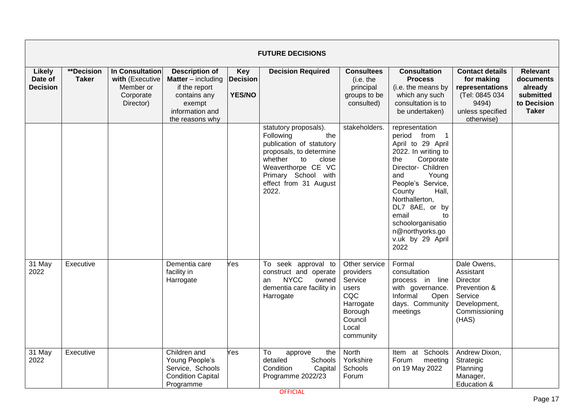|                                             |                            |                                                                           |                                                                                                                                     |                                                | <b>FUTURE DECISIONS</b>                                                                                                                                                                                   |                                                                                                                |                                                                                                                                                                                                                                                                                                                      |                                                                                                                      |                                                                                     |
|---------------------------------------------|----------------------------|---------------------------------------------------------------------------|-------------------------------------------------------------------------------------------------------------------------------------|------------------------------------------------|-----------------------------------------------------------------------------------------------------------------------------------------------------------------------------------------------------------|----------------------------------------------------------------------------------------------------------------|----------------------------------------------------------------------------------------------------------------------------------------------------------------------------------------------------------------------------------------------------------------------------------------------------------------------|----------------------------------------------------------------------------------------------------------------------|-------------------------------------------------------------------------------------|
| <b>Likely</b><br>Date of<br><b>Decision</b> | **Decision<br><b>Taker</b> | In Consultation<br>with (Executive<br>Member or<br>Corporate<br>Director) | <b>Description of</b><br><b>Matter</b> – including<br>if the report<br>contains any<br>exempt<br>information and<br>the reasons why | <b>Key</b><br><b>Decision</b><br><b>YES/NO</b> | <b>Decision Required</b>                                                                                                                                                                                  | <b>Consultees</b><br>(i.e. the<br>principal<br>groups to be<br>consulted)                                      | <b>Consultation</b><br><b>Process</b><br>(i.e. the means by<br>which any such<br>consultation is to<br>be undertaken)                                                                                                                                                                                                | <b>Contact details</b><br>for making<br>representations<br>(Tel: 0845 034<br>9494)<br>unless specified<br>otherwise) | <b>Relevant</b><br>documents<br>already<br>submitted<br>to Decision<br><b>Taker</b> |
|                                             |                            |                                                                           |                                                                                                                                     |                                                | statutory proposals).<br>Following<br>the<br>publication of statutory<br>proposals, to determine<br>whether<br>to<br>close<br>Weaverthorpe CE VC<br>Primary School with<br>effect from 31 August<br>2022. | stakeholders.                                                                                                  | representation<br>period from<br>$\overline{1}$<br>April to 29 April<br>2022. In writing to<br>Corporate<br>the<br>Director- Children<br>Young<br>and<br>People's Service,<br>County<br>Hall,<br>Northallerton,<br>DL7 8AE, or by<br>email<br>to<br>schoolorganisatio<br>n@northyorks.go<br>v.uk by 29 April<br>2022 |                                                                                                                      |                                                                                     |
| 31 May<br>2022                              | Executive                  |                                                                           | Dementia care<br>facility in<br>Harrogate                                                                                           | Yes                                            | To seek approval to<br>construct and operate<br><b>NYCC</b><br>owned<br>an<br>dementia care facility in<br>Harrogate                                                                                      | Other service<br>providers<br>Service<br>users<br>CQC<br>Harrogate<br>Borough<br>Council<br>Local<br>community | Formal<br>consultation<br>process in line<br>with governance.<br>Informal<br>Open<br>days. Community<br>meetings                                                                                                                                                                                                     | Dale Owens,<br>Assistant<br>Director<br>Prevention &<br>Service<br>Development,<br>Commissioning<br>(HAS)            |                                                                                     |
| 31 May<br>2022                              | Executive                  |                                                                           | Children and<br>Young People's<br>Service, Schools<br><b>Condition Capital</b><br>Programme                                         | Yes                                            | To<br>the<br>approve<br>detailed<br>Schools<br>Condition<br>Capital<br>Programme 2022/23                                                                                                                  | North<br>Yorkshire<br>Schools<br>Forum                                                                         | Item at Schools<br>Forum<br>meeting<br>on 19 May 2022                                                                                                                                                                                                                                                                | Andrew Dixon,<br>Strategic<br>Planning<br>Manager,<br>Education &                                                    |                                                                                     |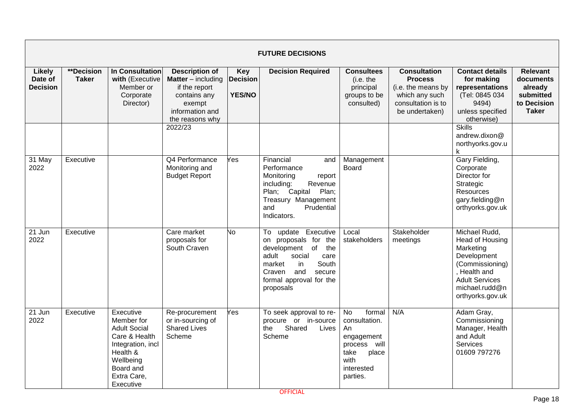|                                      |                                   |                                                                                                                                                        |                                                                                                                                     |                                                | <b>FUTURE DECISIONS</b>                                                                                                                                                                     |                                                                                                                                     |                                                                                                                       |                                                                                                                                                                |                                                                                     |
|--------------------------------------|-----------------------------------|--------------------------------------------------------------------------------------------------------------------------------------------------------|-------------------------------------------------------------------------------------------------------------------------------------|------------------------------------------------|---------------------------------------------------------------------------------------------------------------------------------------------------------------------------------------------|-------------------------------------------------------------------------------------------------------------------------------------|-----------------------------------------------------------------------------------------------------------------------|----------------------------------------------------------------------------------------------------------------------------------------------------------------|-------------------------------------------------------------------------------------|
| Likely<br>Date of<br><b>Decision</b> | <b>**Decision</b><br><b>Taker</b> | In Consultation<br>with (Executive<br>Member or<br>Corporate<br>Director)                                                                              | <b>Description of</b><br><b>Matter</b> – including<br>if the report<br>contains any<br>exempt<br>information and<br>the reasons why | <b>Key</b><br><b>Decision</b><br><b>YES/NO</b> | <b>Decision Required</b>                                                                                                                                                                    | <b>Consultees</b><br>(i.e. the<br>principal<br>groups to be<br>consulted)                                                           | <b>Consultation</b><br><b>Process</b><br>(i.e. the means by<br>which any such<br>consultation is to<br>be undertaken) | <b>Contact details</b><br>for making<br>representations<br>(Tel: 0845 034<br>9494)<br>unless specified<br>otherwise)                                           | <b>Relevant</b><br>documents<br>already<br>submitted<br>to Decision<br><b>Taker</b> |
|                                      |                                   |                                                                                                                                                        | 2022/23                                                                                                                             |                                                |                                                                                                                                                                                             |                                                                                                                                     |                                                                                                                       | <b>Skills</b><br>andrew.dixon@<br>northyorks.gov.u<br>k.                                                                                                       |                                                                                     |
| 31 May<br>2022                       | Executive                         |                                                                                                                                                        | Q4 Performance<br>Monitoring and<br><b>Budget Report</b>                                                                            | Yes                                            | Financial<br>and<br>Performance<br>Monitoring<br>report<br>including:<br>Revenue<br>Capital<br>Plan;<br>Plan;<br>Treasury Management<br>Prudential<br>and<br>Indicators.                    | Management<br><b>Board</b>                                                                                                          |                                                                                                                       | Gary Fielding,<br>Corporate<br>Director for<br>Strategic<br>Resources<br>gary.fielding@n<br>orthyorks.gov.uk                                                   |                                                                                     |
| 21 Jun<br>2022                       | Executive                         |                                                                                                                                                        | Care market<br>proposals for<br>South Craven                                                                                        | No                                             | To update Executive<br>on proposals for the<br>development of<br>the<br>adult<br>social<br>care<br>market<br>in<br>South<br>and<br>Craven<br>secure<br>formal approval for the<br>proposals | Local<br>stakeholders                                                                                                               | Stakeholder<br>meetings                                                                                               | Michael Rudd,<br>Head of Housing<br>Marketing<br>Development<br>(Commissioning)<br>. Health and<br><b>Adult Services</b><br>michael.rudd@n<br>orthyorks.gov.uk |                                                                                     |
| 21 Jun<br>2022                       | Executive                         | Executive<br>Member for<br><b>Adult Social</b><br>Care & Health<br>Integration, incl<br>Health &<br>Wellbeing<br>Board and<br>Extra Care,<br>Executive | Re-procurement<br>or in-sourcing of<br><b>Shared Lives</b><br>Scheme                                                                | Yes                                            | To seek approval to re-<br>procure or in-source<br>Shared<br>the<br>Lives<br>Scheme                                                                                                         | $\overline{N}$<br>formal<br>consultation.<br>An<br>engagement<br>will<br>process<br>take<br>place<br>with<br>interested<br>parties. | N/A                                                                                                                   | Adam Gray,<br>Commissioning<br>Manager, Health<br>and Adult<br>Services<br>01609 797276                                                                        |                                                                                     |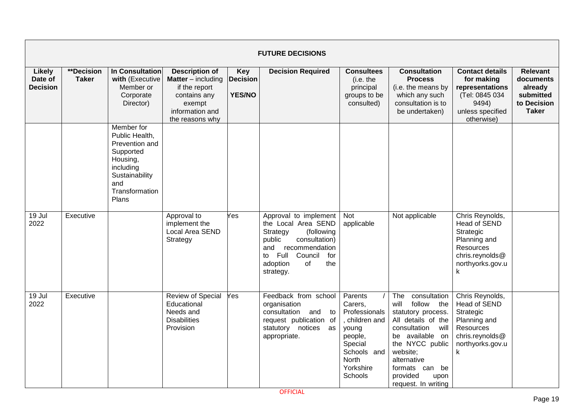|                                             |                            |                                                                                                                                          |                                                                                                                                     |                                         | <b>FUTURE DECISIONS</b>                                                                                                                                                                          |                                                                                                                                      |                                                                                                                                                                                                                                             |                                                                                                                              |                                                                                     |
|---------------------------------------------|----------------------------|------------------------------------------------------------------------------------------------------------------------------------------|-------------------------------------------------------------------------------------------------------------------------------------|-----------------------------------------|--------------------------------------------------------------------------------------------------------------------------------------------------------------------------------------------------|--------------------------------------------------------------------------------------------------------------------------------------|---------------------------------------------------------------------------------------------------------------------------------------------------------------------------------------------------------------------------------------------|------------------------------------------------------------------------------------------------------------------------------|-------------------------------------------------------------------------------------|
| <b>Likely</b><br>Date of<br><b>Decision</b> | **Decision<br><b>Taker</b> | In Consultation<br>with (Executive<br>Member or<br>Corporate<br>Director)                                                                | <b>Description of</b><br><b>Matter</b> – including<br>if the report<br>contains any<br>exempt<br>information and<br>the reasons why | Key<br><b>Decision</b><br><b>YES/NO</b> | <b>Decision Required</b>                                                                                                                                                                         | <b>Consultees</b><br>(i.e. the<br>principal<br>groups to be<br>consulted)                                                            | <b>Consultation</b><br><b>Process</b><br>(i.e. the means by<br>which any such<br>consultation is to<br>be undertaken)                                                                                                                       | <b>Contact details</b><br>for making<br>representations<br>(Tel: 0845 034<br>9494)<br>unless specified<br>otherwise)         | <b>Relevant</b><br>documents<br>already<br>submitted<br>to Decision<br><b>Taker</b> |
|                                             |                            | Member for<br>Public Health,<br>Prevention and<br>Supported<br>Housing,<br>including<br>Sustainability<br>and<br>Transformation<br>Plans |                                                                                                                                     |                                         |                                                                                                                                                                                                  |                                                                                                                                      |                                                                                                                                                                                                                                             |                                                                                                                              |                                                                                     |
| 19 Jul<br>2022                              | Executive                  |                                                                                                                                          | Approval to<br>implement the<br>Local Area SEND<br>Strategy                                                                         | Yes                                     | Approval to implement<br>the Local Area SEND<br>Strategy<br>(following<br>public<br>consultation)<br>recommendation<br>and<br>Council<br>Full<br>to<br>for<br>adoption<br>οf<br>the<br>strategy. | Not<br>applicable                                                                                                                    | Not applicable                                                                                                                                                                                                                              | Chris Reynolds,<br><b>Head of SEND</b><br>Strategic<br>Planning and<br>Resources<br>chris.reynolds@<br>northyorks.gov.u<br>k |                                                                                     |
| 19 Jul<br>2022                              | Executive                  |                                                                                                                                          | <b>Review of Special</b><br>Educational<br>Needs and<br><b>Disabilities</b><br>Provision                                            | Yes                                     | Feedback from school<br>organisation<br>consultation<br>and<br>to<br>request publication of<br>statutory notices<br>as<br>appropriate.                                                           | Parents<br>Carers,<br>Professionals<br>, children and<br>young<br>people,<br>Special<br>Schools and<br>North<br>Yorkshire<br>Schools | The<br>consultation<br>follow the<br>will<br>statutory process.<br>All details of the<br>consultation<br>will<br>be available on<br>the NYCC public<br>website;<br>alternative<br>formats can be<br>provided<br>upon<br>request. In writing | Chris Reynolds,<br>Head of SEND<br>Strategic<br>Planning and<br>Resources<br>chris.reynolds@<br>northyorks.gov.u<br>k        |                                                                                     |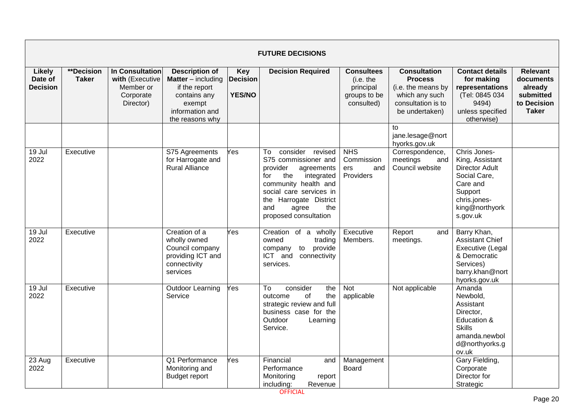|                                             |                                   |                                                                                  |                                                                                                                                     |                                                | <b>FUTURE DECISIONS</b>                                                                                                                                                                                                           |                                                                           |                                                                                                                       |                                                                                                                                               |                                                                                     |
|---------------------------------------------|-----------------------------------|----------------------------------------------------------------------------------|-------------------------------------------------------------------------------------------------------------------------------------|------------------------------------------------|-----------------------------------------------------------------------------------------------------------------------------------------------------------------------------------------------------------------------------------|---------------------------------------------------------------------------|-----------------------------------------------------------------------------------------------------------------------|-----------------------------------------------------------------------------------------------------------------------------------------------|-------------------------------------------------------------------------------------|
| <b>Likely</b><br>Date of<br><b>Decision</b> | <b>**Decision</b><br><b>Taker</b> | <b>In Consultation</b><br>with (Executive<br>Member or<br>Corporate<br>Director) | <b>Description of</b><br><b>Matter</b> – including<br>if the report<br>contains any<br>exempt<br>information and<br>the reasons why | <b>Key</b><br><b>Decision</b><br><b>YES/NO</b> | <b>Decision Required</b>                                                                                                                                                                                                          | <b>Consultees</b><br>(i.e. the<br>principal<br>groups to be<br>consulted) | <b>Consultation</b><br><b>Process</b><br>(i.e. the means by<br>which any such<br>consultation is to<br>be undertaken) | <b>Contact details</b><br>for making<br>representations<br>(Tel: 0845 034<br>9494)<br>unless specified<br>otherwise)                          | <b>Relevant</b><br>documents<br>already<br>submitted<br>to Decision<br><b>Taker</b> |
|                                             |                                   |                                                                                  |                                                                                                                                     |                                                |                                                                                                                                                                                                                                   |                                                                           | to<br>jane.lesage@nort<br>hyorks.gov.uk                                                                               |                                                                                                                                               |                                                                                     |
| 19 Jul<br>2022                              | Executive                         |                                                                                  | S75 Agreements<br>for Harrogate and<br><b>Rural Alliance</b>                                                                        | Yes                                            | consider revised<br>To<br>S75 commissioner and<br>provider<br>agreements<br>the<br>integrated<br>for<br>community health and<br>social care services in<br>the Harrogate District<br>and<br>the<br>agree<br>proposed consultation | <b>NHS</b><br>Commission<br>and<br>ers<br>Providers                       | Correspondence,<br>meetings<br>and<br>Council website                                                                 | Chris Jones-<br>King, Assistant<br><b>Director Adult</b><br>Social Care,<br>Care and<br>Support<br>chris.jones-<br>king@northyork<br>s.gov.uk |                                                                                     |
| 19 Jul<br>2022                              | Executive                         |                                                                                  | Creation of a<br>wholly owned<br>Council company<br>providing ICT and<br>connectivity<br>services                                   | Yes                                            | Creation of a wholly<br>owned<br>trading<br>to provide<br>company<br>ICT and<br>connectivity<br>services.                                                                                                                         | Executive<br>Members.                                                     | Report<br>and<br>meetings.                                                                                            | Barry Khan,<br><b>Assistant Chief</b><br>Executive (Legal<br>& Democratic<br>Services)<br>barry.khan@nort<br>hyorks.gov.uk                    |                                                                                     |
| 19 Jul<br>2022                              | Executive                         |                                                                                  | <b>Outdoor Learning</b><br>Service                                                                                                  | Yes                                            | consider<br>To<br>the<br>of<br>the<br>outcome<br>strategic review and full<br>business case for the<br>Outdoor<br>Learning<br>Service.                                                                                            | Not<br>applicable                                                         | Not applicable                                                                                                        | Amanda<br>Newbold,<br>Assistant<br>Director,<br>Education &<br><b>Skills</b><br>amanda.newbol<br>d@northyorks.g<br>ov.uk                      |                                                                                     |
| 23 Aug<br>2022                              | Executive                         |                                                                                  | Q1 Performance<br>Monitoring and<br><b>Budget report</b>                                                                            | Yes                                            | Financial<br>and<br>Performance<br>Monitoring<br>report<br>including:<br>Revenue                                                                                                                                                  | Management<br>Board                                                       |                                                                                                                       | Gary Fielding,<br>Corporate<br>Director for<br>Strategic                                                                                      |                                                                                     |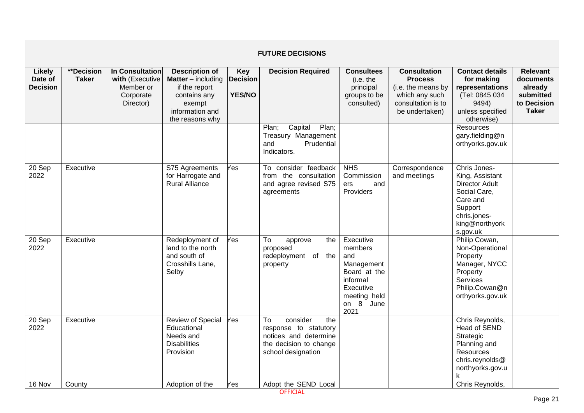|                                             |                            |                                                                           |                                                                                                                                     |                                                | <b>FUTURE DECISIONS</b>                                                                                                                         |                                                                                                                         |                                                                                                                       |                                                                                                                                                 |                                                                                     |
|---------------------------------------------|----------------------------|---------------------------------------------------------------------------|-------------------------------------------------------------------------------------------------------------------------------------|------------------------------------------------|-------------------------------------------------------------------------------------------------------------------------------------------------|-------------------------------------------------------------------------------------------------------------------------|-----------------------------------------------------------------------------------------------------------------------|-------------------------------------------------------------------------------------------------------------------------------------------------|-------------------------------------------------------------------------------------|
| <b>Likely</b><br>Date of<br><b>Decision</b> | **Decision<br><b>Taker</b> | In Consultation<br>with (Executive<br>Member or<br>Corporate<br>Director) | <b>Description of</b><br><b>Matter</b> – including<br>if the report<br>contains any<br>exempt<br>information and<br>the reasons why | <b>Key</b><br><b>Decision</b><br><b>YES/NO</b> | <b>Decision Required</b>                                                                                                                        | <b>Consultees</b><br>(i.e. the<br>principal<br>groups to be<br>consulted)                                               | <b>Consultation</b><br><b>Process</b><br>(i.e. the means by<br>which any such<br>consultation is to<br>be undertaken) | <b>Contact details</b><br>for making<br>representations<br>(Tel: 0845 034<br>9494)<br>unless specified<br>otherwise)                            | <b>Relevant</b><br>documents<br>already<br>submitted<br>to Decision<br><b>Taker</b> |
|                                             |                            |                                                                           |                                                                                                                                     |                                                | Capital<br>Plan;<br>Plan:<br>Treasury Management<br>and<br>Prudential<br>Indicators.                                                            |                                                                                                                         |                                                                                                                       | <b>Resources</b><br>gary.fielding@n<br>orthyorks.gov.uk                                                                                         |                                                                                     |
| 20 Sep<br>2022                              | Executive                  |                                                                           | S75 Agreements<br>for Harrogate and<br><b>Rural Alliance</b>                                                                        | Yes                                            | To consider feedback<br>from the consultation<br>and agree revised S75<br>agreements                                                            | <b>NHS</b><br>Commission<br>ers<br>and<br>Providers                                                                     | Correspondence<br>and meetings                                                                                        | Chris Jones-<br>King, Assistant<br><b>Director Adult</b><br>Social Care,<br>Care and<br>Support<br>chris.jones-<br>king@northyork<br>s.gov.uk   |                                                                                     |
| 20 Sep<br>2022                              | Executive                  |                                                                           | Redeployment of<br>land to the north<br>and south of<br>Crosshills Lane,<br>Selby                                                   | Yes                                            | To<br>the<br>approve<br>proposed<br>redeployment of the<br>property                                                                             | Executive<br>members<br>and<br>Management<br>Board at the<br>informal<br>Executive<br>meeting held<br>on 8 June<br>2021 |                                                                                                                       | Philip Cowan,<br>Non-Operational<br>Property<br>Manager, NYCC<br>Property<br>Services<br>Philip.Cowan@n<br>orthyorks.gov.uk                     |                                                                                     |
| 20 Sep<br>2022<br>16 Nov                    | Executive<br>County        |                                                                           | <b>Review of Special</b><br>Educational<br>Needs and<br><b>Disabilities</b><br>Provision<br>Adoption of the                         | Yes<br>Yes                                     | consider<br>To<br>the<br>response to statutory<br>notices and determine<br>the decision to change<br>school designation<br>Adopt the SEND Local |                                                                                                                         |                                                                                                                       | Chris Reynolds,<br><b>Head of SEND</b><br>Strategic<br>Planning and<br>Resources<br>chris.reynolds@<br>northyorks.gov.u<br>k<br>Chris Reynolds, |                                                                                     |